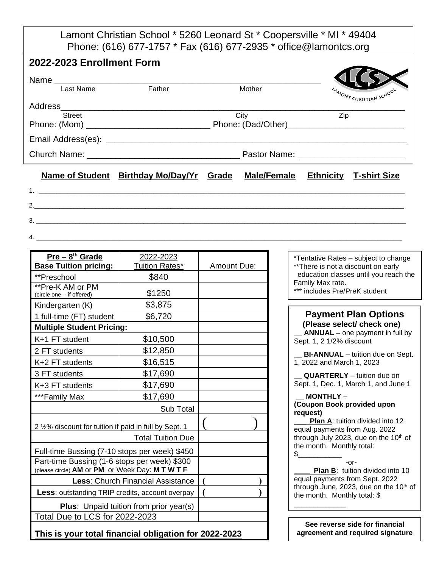Lamont Christian School \* 5260 Leonard St \* Coopersville \* MI \* 49404 Phone: (616) 677-1757 \* Fax (616) 677-2935 \* office@lamontcs.org

| 2022-2023 Enrollment Form |                                                                             |      |        |     |                                |
|---------------------------|-----------------------------------------------------------------------------|------|--------|-----|--------------------------------|
| Last Name                 | Father                                                                      |      | Mother |     | <b>YAMONT CHRISTIAN SCHOOL</b> |
| <b>Street</b>             |                                                                             | City |        | Zip |                                |
|                           |                                                                             |      |        |     |                                |
|                           | Name of Student Birthday Mo/Day/Yr Grade Male/Female Ethnicity T-shirt Size |      |        |     |                                |
| 3.                        |                                                                             |      |        |     |                                |

- 
- 4. \_\_\_\_\_\_\_\_\_\_\_\_\_\_\_\_\_\_\_\_\_\_\_\_\_\_\_\_\_\_\_\_\_\_\_\_\_\_\_\_\_\_\_\_\_\_\_\_\_\_\_\_\_\_\_\_\_\_\_\_\_\_\_\_\_\_\_\_\_\_\_\_\_\_\_\_\_\_\_\_\_\_\_\_\_

| Pre - 8 <sup>th</sup> Grade                                                                     | 2022-2023      |                    |  |  |  |
|-------------------------------------------------------------------------------------------------|----------------|--------------------|--|--|--|
| <b>Base Tuition pricing:</b>                                                                    | Tuition Rates* | <b>Amount Due:</b> |  |  |  |
| **Preschool                                                                                     | \$840          |                    |  |  |  |
| **Pre-K AM or PM<br>(circle one - if offered)                                                   | \$1250         |                    |  |  |  |
| Kindergarten (K)                                                                                | \$3,875        |                    |  |  |  |
| 1 full-time (FT) student                                                                        | \$6,720        |                    |  |  |  |
| <b>Multiple Student Pricing:</b>                                                                |                |                    |  |  |  |
| K+1 FT student                                                                                  | \$10,500       |                    |  |  |  |
| 2 FT students                                                                                   | \$12,850       |                    |  |  |  |
| K+2 FT students                                                                                 | \$16,515       |                    |  |  |  |
| 3 FT students                                                                                   | \$17,690       |                    |  |  |  |
| K+3 FT students                                                                                 | \$17,690       |                    |  |  |  |
| ***Family Max                                                                                   | \$17,690       |                    |  |  |  |
|                                                                                                 | Sub Total      |                    |  |  |  |
| 2 1/2% discount for tuition if paid in full by Sept. 1                                          |                |                    |  |  |  |
|                                                                                                 |                |                    |  |  |  |
| Full-time Bussing (7-10 stops per week) \$450                                                   |                |                    |  |  |  |
| Part-time Bussing (1-6 stops per week) \$300<br>(please circle) AM or PM or Week Day: M T W T F |                |                    |  |  |  |
| Less: Church Financial Assistance                                                               |                |                    |  |  |  |
| Less: outstanding TRIP credits, account overpay                                                 |                |                    |  |  |  |
| <b>Plus:</b> Unpaid tuition from prior year(s)                                                  |                |                    |  |  |  |
| Total Due to LCS for 2022-2023                                                                  |                |                    |  |  |  |
| This is your total financial obligation for 2022-2023                                           |                |                    |  |  |  |

\*Tentative Rates – subject to change \*\*There is not a discount on early education classes until you reach the Family Max rate.

## \*\*\* includes Pre/PreK student

## **Payment Plan Options (Please select/ check one)**

**ANNUAL** – one payment in full by Sept. 1, 2 1/2% discount

**BI-ANNUAL** – tuition due on Sept. 1, 2022 and March 1, 2023

**\_\_ QUARTERLY** – tuition due on Sept. 1, Dec. 1, March 1, and June 1

## \_\_ **MONTHLY** – **(Coupon Book provided upon request)**

**Plan A:** tuition divided into 12 equal payments from Aug. 2022 through July 2023, due on the 10<sup>th</sup> of the month. Monthly total:  $$\bar{\phantom{a}}$$ 

-or-

**Plan B:** tuition divided into 10 equal payments from Sept. 2022 through June, 2023, due on the  $10<sup>th</sup>$  of the month. Monthly total: \$ \_\_\_\_\_\_\_\_\_\_\_\_\_

**See reverse side for financial agreement and required signature**